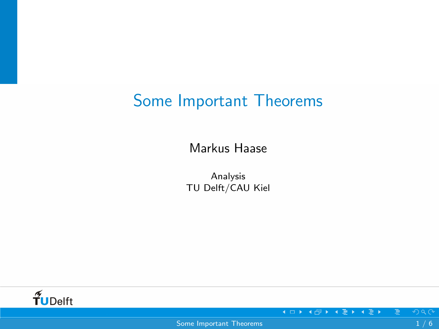# <span id="page-0-0"></span>Some Important Theorems

Markus Haase

Analysis TU Delft/CAU Kiel

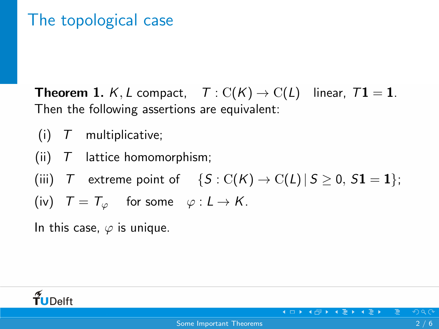### The topological case

**Theorem 1.** K, L compact,  $T : C(K) \to C(L)$  linear,  $T1 = 1$ . Then the following assertions are equivalent:

- $(i)$  T multiplicative;
- (ii)  $T$  lattice homomorphism;
- (iii) T extreme point of  $\{S : C(K) \to C(L) | S \geq 0, S_1 = 1\};$

(iv)  $T = T_{\varphi}$  for some  $\varphi : L \to K$ .

In this case,  $\varphi$  is unique.

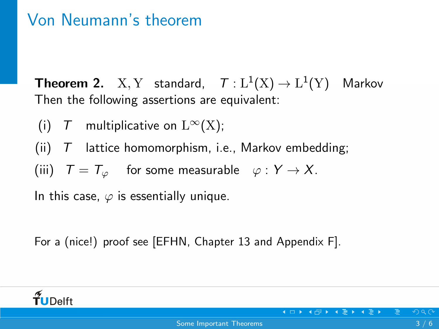# Von Neumann's theorem

**Theorem 2.**  $X, Y$  standard,  $\mathcal{T} : L^1(X) \rightarrow L^1(Y)$  Markov Then the following assertions are equivalent:

(i) T multiplicative on  $L^{\infty}(X)$ ;

(ii)  $T$  lattice homomorphism, i.e., Markov embedding;

(iii)  $T = T_{\varphi}$  for some measurable  $\varphi : Y \to X$ .

In this case,  $\varphi$  is essentially unique.

For a (nice!) proof see [EFHN, Chapter 13 and Appendix F].



 $\rightarrow$  4  $\oplus$   $\rightarrow$  4  $\oplus$   $\rightarrow$  4  $\oplus$   $\rightarrow$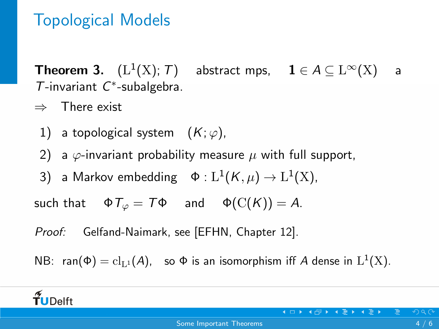#### Topological Models

**Theorem 3.**  $(L^1(X); T)$  abstract mps,  $\mathbf{1} \in A \subseteq L^{\infty}(X)$  a  $T$ -invariant  $C^*$ -subalgebra.

⇒ There exist

 $\tilde{\mathbf{T}}$ UDelft

- 1) a topological system  $(K; \varphi)$ ,
- 2) a  $\varphi$ -invariant probability measure  $\mu$  with full support,
- 3) a Markov embedding  $\;\;\Phi:\mathrm{L}^1(\mathcal K,\mu)\to\mathrm{L}^1(\mathrm{X}),$

such that  $\Phi T_{\varphi} = T \Phi$  and  $\Phi(C(K)) = A$ .

Proof: Gelfand-Naimark, see [EFHN, Chapter 12].

NB:  $ran(\Phi) = cl_{L^1}(A)$ , so  $\Phi$  is an isomorphism iff A dense in  $L^1(X)$ .

 $4$  ロ }  $4$   $6\overline{9}$  }  $4$   $\overline{2}$  }  $4$   $\overline{2}$  }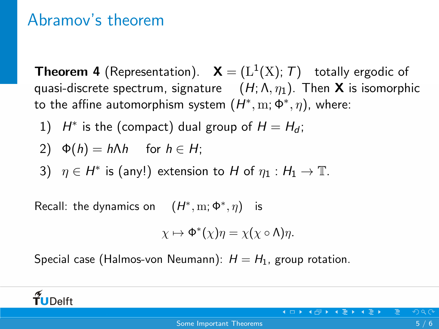#### Abramov's theorem

**Theorem 4** (Representation).  $\mathbf{X} = (L^1(X); T)$  totally ergodic of quasi-discrete spectrum, signature  $(H; \Lambda, \eta_1)$ . Then **X** is isomorphic to the affine automorphism system  $(H^*,\mathrm{m};\Phi^*,\eta)$ , where:

1)  $H^*$  is the (compact) dual group of  $H = H_d$ ;

2) 
$$
\Phi(h) = h \Lambda h
$$
 for  $h \in H$ ;

TUDelft

3)  $\eta \in H^*$  is (any!) extension to H of  $\eta_1 : H_1 \to \mathbb{T}$ .

Recall: the dynamics on  $(H^*, m; \Phi^*, \eta)$  is

$$
\chi \mapsto \Phi^*(\chi)\eta = \chi(\chi \circ \Lambda)\eta.
$$

Special case (Halmos-von Neumann):  $H = H_1$ , group rotation.